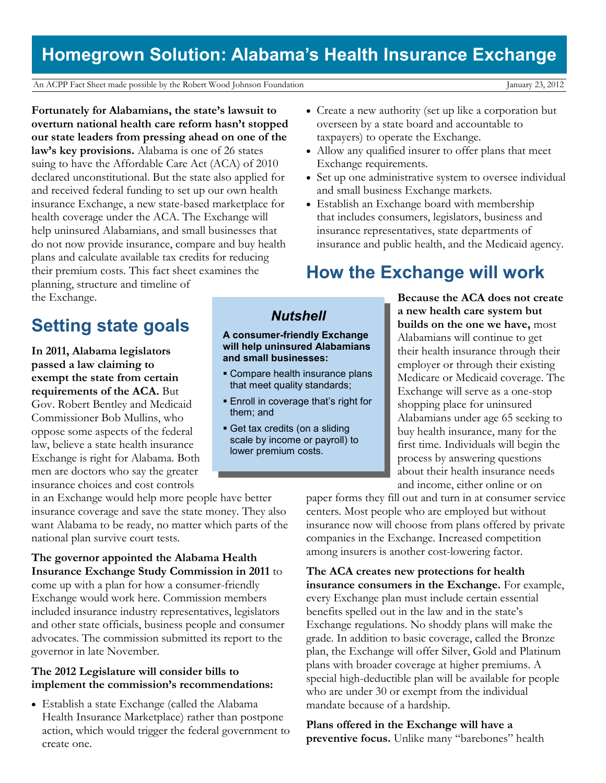## **Homegrown Solution: Alabama's Health Insurance Exchange**

An ACPP Fact Sheet made possible by the Robert Wood Johnson Foundation January 23, 2012

**Fortunately for Alabamians, the state's lawsuit to overturn national health care reform hasn't stopped our state leaders from pressing ahead on one of the law's key provisions.** Alabama is one of 26 states suing to have the Affordable Care Act (ACA) of 2010 declared unconstitutional. But the state also applied for and received federal funding to set up our own health insurance Exchange, a new state-based marketplace for health coverage under the ACA. The Exchange will help uninsured Alabamians, and small businesses that do not now provide insurance, compare and buy health plans and calculate available tax credits for reducing their premium costs. This fact sheet examines the planning, structure and timeline of

- Create a new authority (set up like a corporation but overseen by a state board and accountable to taxpayers) to operate the Exchange.
- Allow any qualified insurer to offer plans that meet Exchange requirements.
- Set up one administrative system to oversee individual and small business Exchange markets.
- Establish an Exchange board with membership that includes consumers, legislators, business and insurance representatives, state departments of insurance and public health, and the Medicaid agency.

## **How the Exchange will work**

the Exchange.

# **Setting state goals**

**In 2011, Alabama legislators passed a law claiming to exempt the state from certain requirements of the ACA.** But Gov. Robert Bentley and Medicaid Commissioner Bob Mullins, who oppose some aspects of the federal law, believe a state health insurance Exchange is right for Alabama. Both men are doctors who say the greater insurance choices and cost controls

in an Exchange would help more people have better insurance coverage and save the state money. They also want Alabama to be ready, no matter which parts of the national plan survive court tests.

**The governor appointed the Alabama Health Insurance Exchange Study Commission in 2011** to come up with a plan for how a consumer-friendly Exchange would work here. Commission members included insurance industry representatives, legislators and other state officials, business people and consumer advocates. The commission submitted its report to the governor in late November.

#### **The 2012 Legislature will consider bills to implement the commission's recommendations:**

 Establish a state Exchange (called the Alabama Health Insurance Marketplace) rather than postpone action, which would trigger the federal government to create one.

**Because the ACA does not create a new health care system but builds on the one we have,** most Alabamians will continue to get their health insurance through their employer or through their existing Medicare or Medicaid coverage. The Exchange will serve as a one-stop shopping place for uninsured Alabamians under age 65 seeking to buy health insurance, many for the first time. Individuals will begin the process by answering questions about their health insurance needs and income, either online or on

paper forms they fill out and turn in at consumer service centers. Most people who are employed but without insurance now will choose from plans offered by private companies in the Exchange. Increased competition among insurers is another cost-lowering factor.

**The ACA creates new protections for health insurance consumers in the Exchange.** For example, every Exchange plan must include certain essential benefits spelled out in the law and in the state's Exchange regulations. No shoddy plans will make the grade. In addition to basic coverage, called the Bronze plan, the Exchange will offer Silver, Gold and Platinum plans with broader coverage at higher premiums. A special high-deductible plan will be available for people who are under 30 or exempt from the individual mandate because of a hardship.

**Plans offered in the Exchange will have a preventive focus.** Unlike many "barebones" health

## *Nutshell*

**A consumer-friendly Exchange will help uninsured Alabamians and small businesses:**

- Compare health insurance plans that meet quality standards;
- **Enroll in coverage that's right for** them; and
- Get tax credits (on a sliding scale by income or payroll) to lower premium costs.